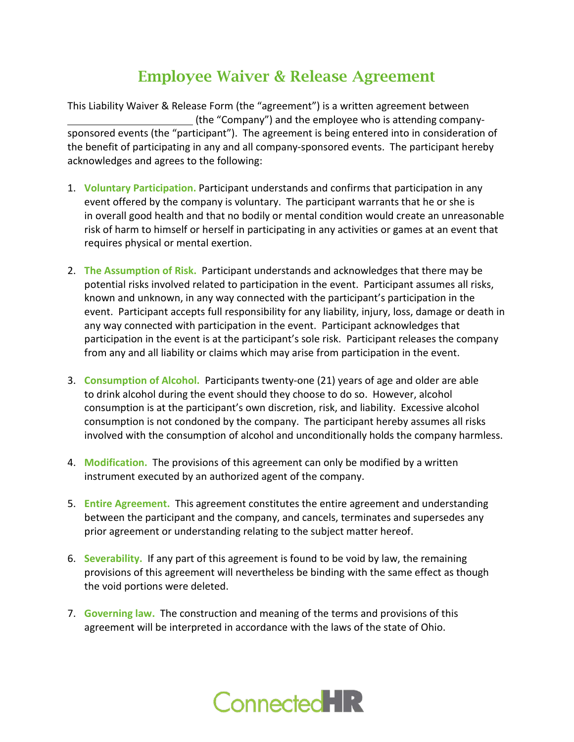## Employee Waiver & Release Agreement

This Liability Waiver & Release Form (the "agreement") is a written agreement between (the "Company") and the employee who is attending companysponsored events (the "participant"). The agreement is being entered into in consideration of the benefit of participating in any and all company-sponsored events. The participant hereby acknowledges and agrees to the following:

- 1. **Voluntary Participation.** Participant understands and confirms that participation in any event offered by the company is voluntary. The participant warrants that he or she is in overall good health and that no bodily or mental condition would create an unreasonable risk of harm to himself or herself in participating in any activities or games at an event that requires physical or mental exertion.
- 2. **The Assumption of Risk.** Participant understands and acknowledges that there may be potential risks involved related to participation in the event. Participant assumes all risks, known and unknown, in any way connected with the participant's participation in the event. Participant accepts full responsibility for any liability, injury, loss, damage or death in any way connected with participation in the event. Participant acknowledges that participation in the event is at the participant's sole risk. Participant releases the company from any and all liability or claims which may arise from participation in the event.
- 3. **Consumption of Alcohol.** Participants twenty-one (21) years of age and older are able to drink alcohol during the event should they choose to do so. However, alcohol consumption is at the participant's own discretion, risk, and liability. Excessive alcohol consumption is not condoned by the company. The participant hereby assumes all risks involved with the consumption of alcohol and unconditionally holds the company harmless.
- 4. **Modification.** The provisions of this agreement can only be modified by a written instrument executed by an authorized agent of the company.
- 5. **Entire Agreement.** This agreement constitutes the entire agreement and understanding between the participant and the company, and cancels, terminates and supersedes any prior agreement or understanding relating to the subject matter hereof.
- 6. **Severability.** If any part of this agreement is found to be void by law, the remaining provisions of this agreement will nevertheless be binding with the same effect as though the void portions were deleted.
- 7. **Governing law.** The construction and meaning of the terms and provisions of this agreement will be interpreted in accordance with the laws of the state of Ohio.